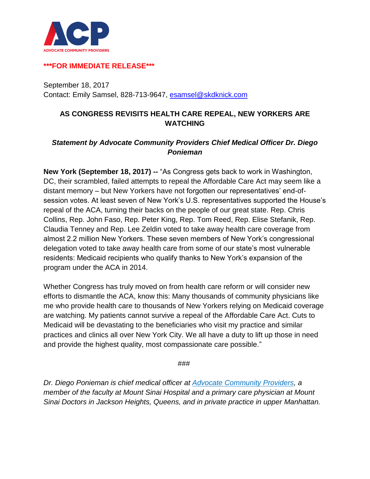

## **\*\*\*FOR IMMEDIATE RELEASE\*\*\***

September 18, 2017 Contact: Emily Samsel, 828-713-9647, [esamsel@skdknick.com](mailto:esamsel@skdknick.com)

## **AS CONGRESS REVISITS HEALTH CARE REPEAL, NEW YORKERS ARE WATCHING**

## *Statement by Advocate Community Providers Chief Medical Officer Dr. Diego Ponieman*

**New York (September 18, 2017) --** "As Congress gets back to work in Washington, DC, their scrambled, failed attempts to repeal the Affordable Care Act may seem like a distant memory – but New Yorkers have not forgotten our representatives' end-ofsession votes. At least seven of New York's U.S. representatives supported the House's repeal of the ACA, turning their backs on the people of our great state. Rep. Chris Collins, Rep. John Faso, Rep. Peter King, Rep. Tom Reed, Rep. Elise Stefanik, Rep. Claudia Tenney and Rep. Lee Zeldin voted to take away health care coverage from almost 2.2 million New Yorkers. These seven members of New York's congressional delegation voted to take away health care from some of our state's most vulnerable residents: Medicaid recipients who qualify thanks to New York's expansion of the program under the ACA in 2014.

Whether Congress has truly moved on from health care reform or will consider new efforts to dismantle the ACA, know this: Many thousands of community physicians like me who provide health care to thousands of New Yorkers relying on Medicaid coverage are watching. My patients cannot survive a repeal of the Affordable Care Act. Cuts to Medicaid will be devastating to the beneficiaries who visit my practice and similar practices and clinics all over New York City. We all have a duty to lift up those in need and provide the highest quality, most compassionate care possible."

###

*Dr. Diego Ponieman is chief medical officer at [Advocate Community Providers,](http://www.acppps.org/) a member of the faculty at Mount Sinai Hospital and a primary care physician at Mount Sinai Doctors in Jackson Heights, Queens, and in private practice in upper Manhattan.*